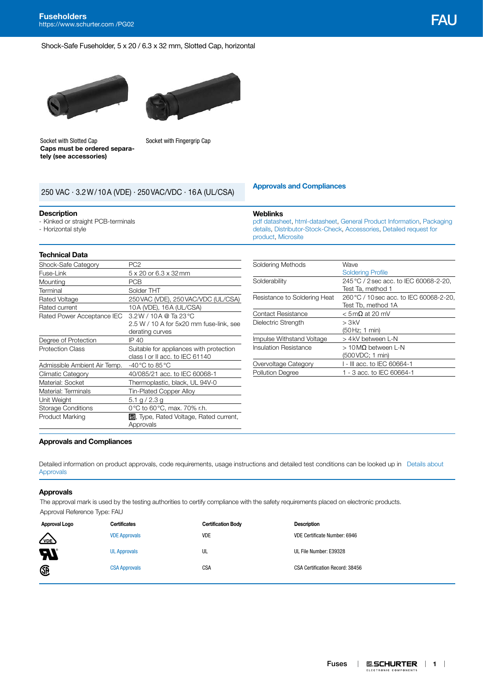#### Shock-Safe Fuseholder, 5 x 20 / 6.3 x 32 mm, Slotted Cap, horizontal





Socket with Slotted Cap **Caps must be ordered separately (see accessories)**

Socket with Fingergrip Cap

# **[Approvals and Compliances](#page-0-0)** <sup>250</sup> VAC · 3.2W/10A (VDE) · 250VAC/VDC · 16A (UL/CSA)

#### **Description**

- Kinked or straight PCB-terminals
- Horizontal style

## **Technical Data**

| Shock-Safe Category          | PC <sub>2</sub>                                     |
|------------------------------|-----------------------------------------------------|
| Fuse-Link                    | 5 x 20 or 6.3 x 32 mm                               |
| Mounting                     | <b>PCB</b>                                          |
| Terminal                     | Solder THT                                          |
| Rated Voltage                | 250 VAC (VDE), 250 VAC/VDC (UL/CSA)                 |
| Rated current                | 10A (VDE), 16A (UL/CSA)                             |
| Rated Power Acceptance IEC   | $3.2 W / 10 A @$ Ta 23 °C                           |
|                              | 2.5 W / 10 A for 5x20 mm fuse-link, see             |
|                              | derating curves                                     |
| Degree of Protection         | IP 40                                               |
| <b>Protection Class</b>      | Suitable for appliances with protection             |
|                              | class I or II acc. to IEC 61140                     |
| Admissible Ambient Air Temp. | -40 °C to 85 °C                                     |
| Climatic Category            | 40/085/21 acc. to IEC 60068-1                       |
| Material: Socket             | Thermoplastic, black, UL 94V-0                      |
| Material: Terminals          | Tin-Plated Copper Alloy                             |
| Unit Weight                  | 5.1 g / 2.3 g                                       |
| <b>Storage Conditions</b>    | 0°C to 60°C, max. 70% r.h.                          |
| <b>Product Marking</b>       | 旦, Type, Rated Voltage, Rated current,<br>Approvals |

| Soldering Methods            | Wave                                    |
|------------------------------|-----------------------------------------|
|                              | <b>Soldering Profile</b>                |
| Solderability                | 245 °C / 2 sec acc. to IEC 60068-2-20.  |
|                              | Test Ta, method 1                       |
| Resistance to Soldering Heat | 260 °C / 10 sec acc. to IEC 60068-2-20. |
|                              | Test Tb, method 1A                      |
| <b>Contact Resistance</b>    | $<$ 5 m $\Omega$ at 20 mV               |
| Dielectric Strength          | > 3kV                                   |
|                              | (50 Hz; 1 min)                          |
| Impulse Withstand Voltage    | > 4kV between L-N                       |
| Insulation Resistance        | $>10$ MQ between L-N                    |
|                              | (500 VDC; 1 min)                        |
| Overvoltage Category         | 1 - III acc. to IEC 60664-1             |
| <b>Pollution Degree</b>      | 1 - 3 acc. to IEC 60664-1               |

[pdf datasheet](http://www.schurter.ch/pdf/english/typ_FAU.pdf), [html-datasheet,](http://www.schurter.ch/en/datasheet/FAU) [General Product Information](https://www.schurter.ch/en/products/fuses_general_info.asp?language_id=0), [Packaging](http://www.schurter.com/en/data/download/19867)  [details,](http://www.schurter.com/en/data/download/19867) [Distributor-Stock-Check](https://www.schurter.com/en/Stock-Check/Stock-Check-Distributor?partnumber1=FAU), [Accessories,](https://www.schurter.ch/en/wwwsc/con_z02.asp?language_id=0) [Detailed request for](https://www.schurter.com/en/Contacts/Contact-Form?type=FAU) 

## <span id="page-0-0"></span>**Approvals and Compliances**

Detailed information on product approvals, code requirements, usage instructions and detailed test conditions can be looked up in Details about [Approvals](http://www.schurter.com/en/Components/Connectors/General-Product-Information#1.1)

**Weblinks**

[product,](https://www.schurter.com/en/Contacts/Contact-Form?type=FAU) [Microsite](http://fuseholder.schurter.com)

#### **Approvals**

The approval mark is used by the testing authorities to certify compliance with the safety requirements placed on electronic products. Approval Reference Type: FAU

| Approval Logo              | <b>Certificates</b>  | <b>Certification Body</b> | <b>Description</b>              |
|----------------------------|----------------------|---------------------------|---------------------------------|
| $\sqrt{20E}$               | <b>VDE Approvals</b> | <b>VDE</b>                | VDE Certificate Number: 6946    |
| $\boldsymbol{\mathcal{H}}$ | <b>UL Approvals</b>  | UL                        | UL File Number: E39328          |
| Œ                          | <b>CSA Approvals</b> | CSA                       | CSA Certification Record: 38456 |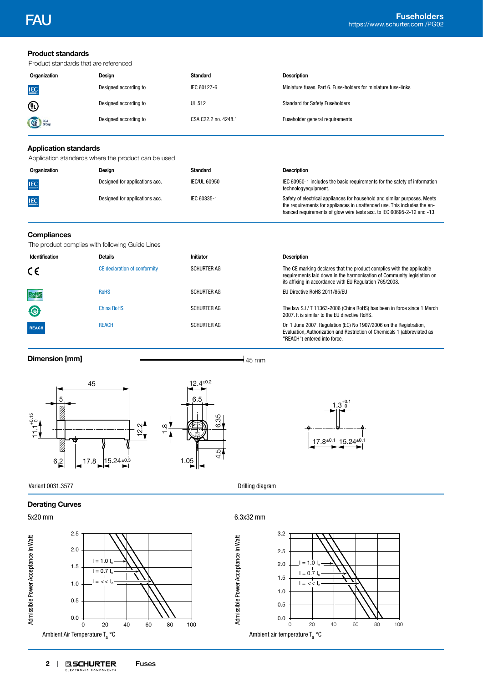| <b>Product standards</b><br>Product standards that are referenced                                                               |                                                                          |                                                                                         |                                                                                                                                                                                                                                 |
|---------------------------------------------------------------------------------------------------------------------------------|--------------------------------------------------------------------------|-----------------------------------------------------------------------------------------|---------------------------------------------------------------------------------------------------------------------------------------------------------------------------------------------------------------------------------|
| Organization                                                                                                                    | Design                                                                   | <b>Standard</b>                                                                         | <b>Description</b>                                                                                                                                                                                                              |
| <b>IEC</b>                                                                                                                      | Designed according to                                                    | IEC 60127-6                                                                             | Miniature fuses. Part 6. Fuse-holders for miniature fuse-links                                                                                                                                                                  |
| ⁄⊍                                                                                                                              | Designed according to                                                    | <b>UL 512</b>                                                                           | <b>Standard for Safety Fuseholders</b>                                                                                                                                                                                          |
|                                                                                                                                 | Designed according to                                                    | CSA C22.2 no. 4248.1                                                                    | Fuseholder general requirements                                                                                                                                                                                                 |
| <b>Application standards</b>                                                                                                    |                                                                          |                                                                                         |                                                                                                                                                                                                                                 |
|                                                                                                                                 | Application standards where the product can be used                      |                                                                                         |                                                                                                                                                                                                                                 |
| Organization                                                                                                                    | Design                                                                   | <b>Standard</b>                                                                         | <b>Description</b>                                                                                                                                                                                                              |
| <b>IEC</b>                                                                                                                      | Designed for applications acc.                                           | <b>IEC/UL 60950</b>                                                                     | IEC 60950-1 includes the basic requirements for the safety of information<br>technologyequipment.                                                                                                                               |
| IEC                                                                                                                             | Designed for applications acc.                                           | IEC 60335-1                                                                             | Safety of electrical appliances for household and similar purposes. Meets<br>the requirements for appliances in unattended use. This includes the en-<br>hanced requirements of glow wire tests acc. to IEC 60695-2-12 and -13. |
| <b>Compliances</b><br>The product complies with following Guide Lines                                                           |                                                                          |                                                                                         |                                                                                                                                                                                                                                 |
| Identification                                                                                                                  | <b>Details</b>                                                           | Initiator                                                                               | <b>Description</b>                                                                                                                                                                                                              |
| $\epsilon$                                                                                                                      | CE declaration of conformity                                             | <b>SCHURTER AG</b>                                                                      | The CE marking declares that the product complies with the applicable<br>requirements laid down in the harmonisation of Community legislation on<br>its affixing in accordance with EU Regulation 765/2008.                     |
| <b>RoHS</b>                                                                                                                     | <b>RoHS</b>                                                              | <b>SCHURTER AG</b>                                                                      | EU Directive RoHS 2011/65/EU                                                                                                                                                                                                    |
| ⊜                                                                                                                               | <b>China RoHS</b>                                                        | <b>SCHURTER AG</b>                                                                      | The law SJ / T 11363-2006 (China RoHS) has been in force since 1 March<br>2007. It is similar to the EU directive RoHS.                                                                                                         |
| <b>REACH</b>                                                                                                                    | <b>REACH</b>                                                             | <b>SCHURTER AG</b>                                                                      | On 1 June 2007, Regulation (EC) No 1907/2006 on the Registration,<br>Evaluation, Authorization and Restriction of Chemicals 1 (abbreviated as<br>"REACH") entered into force.                                                   |
| <b>Dimension [mm]</b>                                                                                                           |                                                                          |                                                                                         | $45 \text{ mm}$                                                                                                                                                                                                                 |
| 45<br>5<br>V)<br>$\frac{11.115}{11.115}$<br>O.<br>O.<br>6.2<br>17.8                                                             | $\frac{12.2}{\pi}$<br>œ<br>$15.24 \pm 0.3$                               | $12.4^{\pm0.2}$<br>6.5<br>35<br>(⊘<br>$\overline{5}$<br>4<br>$\frac{1.05}{\rightarrow}$ | $1.3^{+0.1}_{-0}$<br>$17.8^{\pm0.1}$<br>$15.24^{\pm0.1}$                                                                                                                                                                        |
| Variant 0031.3577                                                                                                               |                                                                          |                                                                                         | Drilling diagram                                                                                                                                                                                                                |
| <b>Derating Curves</b>                                                                                                          |                                                                          |                                                                                         |                                                                                                                                                                                                                                 |
| 5x20 mm                                                                                                                         |                                                                          |                                                                                         | 6.3x32 mm                                                                                                                                                                                                                       |
| 2.5<br>Admissible Power Acceptance in Watt<br>2.0<br>1.5<br>1.0<br>0.5<br>0.0<br>0<br>Ambient Air Temperature T <sub>a</sub> °C | $I = 1.0 In$<br>$I = 0.7 I$<br>$I = \lt \lt I_n$<br>20<br>40<br>60<br>80 | Admissible Power Acceptance in Watt<br>100                                              | 3.2<br>2.5<br>$= 1.0 L$<br>2.0<br>$I = 0.7 I_r$<br>1.5<br>$I = \langle I_n$<br>1.0<br>0.5<br>0.0<br>0<br>20<br>60<br>40<br>80<br>100<br>Ambient air temperature $T_a^{\circ}$ C                                                 |